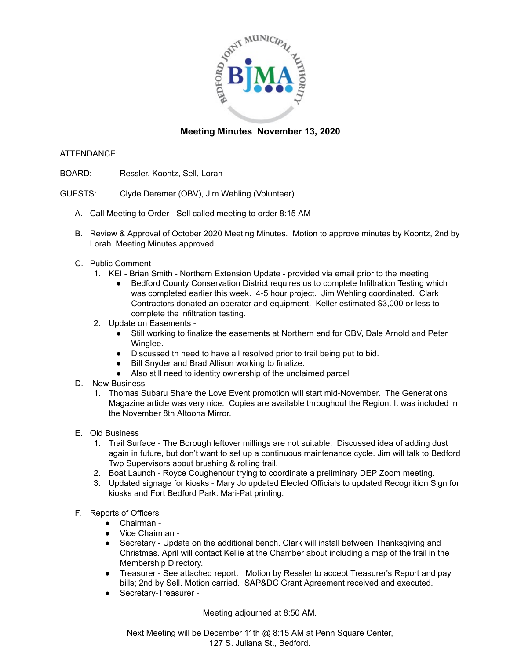

## **Meeting Minutes November 13, 2020**

## ATTENDANCE:

- BOARD: Ressler, Koontz, Sell, Lorah
- GUESTS: Clyde Deremer (OBV), Jim Wehling (Volunteer)
	- A. Call Meeting to Order Sell called meeting to order 8:15 AM
	- B. Review & Approval of October 2020 Meeting Minutes. Motion to approve minutes by Koontz, 2nd by Lorah. Meeting Minutes approved.
	- C. Public Comment
		- 1. KEI Brian Smith Northern Extension Update provided via email prior to the meeting.
			- Bedford County Conservation District requires us to complete Infiltration Testing which was completed earlier this week. 4-5 hour project. Jim Wehling coordinated. Clark Contractors donated an operator and equipment. Keller estimated \$3,000 or less to complete the infiltration testing.
		- 2. Update on Easements
			- Still working to finalize the easements at Northern end for OBV, Dale Arnold and Peter Winglee.
			- Discussed th need to have all resolved prior to trail being put to bid.
			- Bill Snyder and Brad Allison working to finalize.
			- Also still need to identity ownership of the unclaimed parcel
	- D. New Business
		- 1. Thomas Subaru Share the Love Event promotion will start mid-November. The Generations Magazine article was very nice. Copies are available throughout the Region. It was included in the November 8th Altoona Mirror.
	- E. Old Business
		- 1. Trail Surface The Borough leftover millings are not suitable. Discussed idea of adding dust again in future, but don't want to set up a continuous maintenance cycle. Jim will talk to Bedford Twp Supervisors about brushing & rolling trail.
		- 2. Boat Launch Royce Coughenour trying to coordinate a preliminary DEP Zoom meeting.
		- 3. Updated signage for kiosks Mary Jo updated Elected Officials to updated Recognition Sign for kiosks and Fort Bedford Park. Mari-Pat printing.
	- F. Reports of Officers
		- Chairman -
		- Vice Chairman -
		- Secretary Update on the additional bench. Clark will install between Thanksgiving and Christmas. April will contact Kellie at the Chamber about including a map of the trail in the Membership Directory.
		- Treasurer See attached report. Motion by Ressler to accept Treasurer's Report and pay bills; 2nd by Sell. Motion carried. SAP&DC Grant Agreement received and executed.
		- Secretary-Treasurer -

Meeting adjourned at 8:50 AM.

Next Meeting will be December 11th @ 8:15 AM at Penn Square Center, 127 S. Juliana St., Bedford.